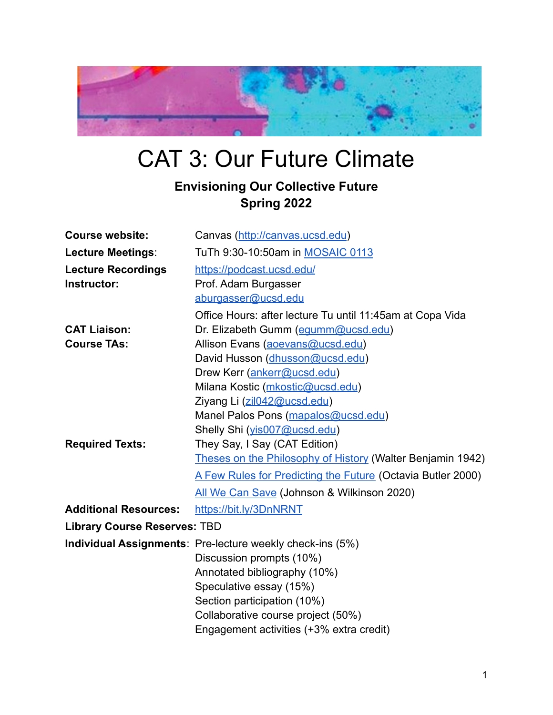

# CAT 3: Our Future Climate

## **Envisioning Our Collective Future Spring 2022**

| <b>Course website:</b>              | Canvas (http://canvas.ucsd.edu)                                  |
|-------------------------------------|------------------------------------------------------------------|
| <b>Lecture Meetings:</b>            | TuTh 9:30-10:50am in MOSAIC 0113                                 |
| <b>Lecture Recordings</b>           | https://podcast.ucsd.edu/                                        |
| Instructor:                         | Prof. Adam Burgasser                                             |
|                                     | aburgasser@ucsd.edu                                              |
|                                     | Office Hours: after lecture Tu until 11:45am at Copa Vida        |
| <b>CAT Liaison:</b>                 | Dr. Elizabeth Gumm (equmm@ucsd.edu)                              |
| <b>Course TAs:</b>                  | Allison Evans (aoevans@ucsd.edu)                                 |
|                                     | David Husson (dhusson@ucsd.edu)                                  |
|                                     | Drew Kerr (ankerr@ucsd.edu)                                      |
|                                     | Milana Kostic (mkostic@ucsd.edu)                                 |
|                                     | Ziyang Li (zil042@ucsd.edu)                                      |
|                                     | Manel Palos Pons (mapalos@ucsd.edu)                              |
|                                     | Shelly Shi (yis007@ucsd.edu)                                     |
| <b>Required Texts:</b>              | They Say, I Say (CAT Edition)                                    |
|                                     | Theses on the Philosophy of History (Walter Benjamin 1942)       |
|                                     | A Few Rules for Predicting the Future (Octavia Butler 2000)      |
|                                     | All We Can Save (Johnson & Wilkinson 2020)                       |
| <b>Additional Resources:</b>        | https://bit.ly/3DnNRNT                                           |
| <b>Library Course Reserves: TBD</b> |                                                                  |
|                                     | <b>Individual Assignments: Pre-lecture weekly check-ins (5%)</b> |
|                                     | Discussion prompts (10%)                                         |
|                                     | Annotated bibliography (10%)                                     |
|                                     | Speculative essay (15%)                                          |
|                                     | Section participation (10%)                                      |
|                                     | Collaborative course project (50%)                               |
|                                     | Engagement activities (+3% extra credit)                         |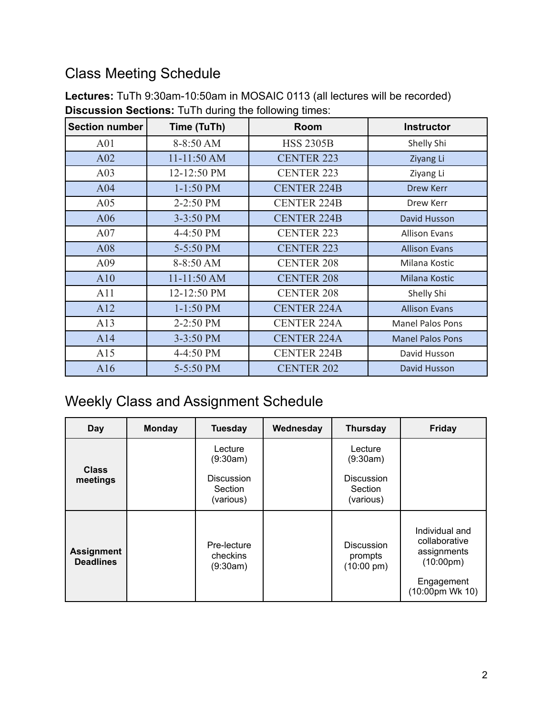## <span id="page-1-0"></span>Class Meeting Schedule

| <b>Section number</b> | Time (TuTh) | Room               | <b>Instructor</b>       |
|-----------------------|-------------|--------------------|-------------------------|
| A <sub>01</sub>       | 8-8:50 AM   | <b>HSS 2305B</b>   | Shelly Shi              |
| A02                   | 11-11:50 AM | <b>CENTER 223</b>  | Ziyang Li               |
| A03                   | 12-12:50 PM | <b>CENTER 223</b>  | Ziyang Li               |
| A04                   | $1-1:50$ PM | <b>CENTER 224B</b> | <b>Drew Kerr</b>        |
| A05                   | 2-2:50 PM   | <b>CENTER 224B</b> | Drew Kerr               |
| A06                   | 3-3:50 PM   | <b>CENTER 224B</b> | David Husson            |
| A07                   | 4-4:50 PM   | <b>CENTER 223</b>  | <b>Allison Evans</b>    |
| A08                   | 5-5:50 PM   | <b>CENTER 223</b>  | <b>Allison Evans</b>    |
| A09                   | 8-8:50 AM   | <b>CENTER 208</b>  | Milana Kostic           |
| A10                   | 11-11:50 AM | <b>CENTER 208</b>  | Milana Kostic           |
| A11                   | 12-12:50 PM | <b>CENTER 208</b>  | Shelly Shi              |
| A12                   | $1-1:50$ PM | <b>CENTER 224A</b> | <b>Allison Evans</b>    |
| A13                   | 2-2:50 PM   | <b>CENTER 224A</b> | <b>Manel Palos Pons</b> |
| A14                   | 3-3:50 PM   | <b>CENTER 224A</b> | <b>Manel Palos Pons</b> |
| A15                   | 4-4:50 PM   | <b>CENTER 224B</b> | David Husson            |
| A16                   | 5-5:50 PM   | <b>CENTER 202</b>  | David Husson            |

**Lectures:** TuTh 9:30am-10:50am in MOSAIC 0113 (all lectures will be recorded) **Discussion Sections:** TuTh during the following times:

## <span id="page-1-1"></span>Weekly Class and Assignment Schedule

| Day                                   | <b>Monday</b> | <b>Tuesday</b>                                      | Wednesday | <b>Thursday</b>                                      | <b>Friday</b>                                                         |
|---------------------------------------|---------------|-----------------------------------------------------|-----------|------------------------------------------------------|-----------------------------------------------------------------------|
| <b>Class</b><br>meetings              |               | Lecture<br>(9:30am)<br><b>Discussion</b><br>Section |           | Lecture<br>(9:30am)<br><b>Discussion</b><br>Section  |                                                                       |
|                                       |               | (various)                                           |           | (various)                                            |                                                                       |
| <b>Assignment</b><br><b>Deadlines</b> |               | Pre-lecture<br>checkins<br>(9:30am)                 |           | <b>Discussion</b><br>prompts<br>$(10:00 \text{ pm})$ | Individual and<br>collaborative<br>assignments<br>$(10:00 \text{pm})$ |
|                                       |               |                                                     |           |                                                      | Engagement<br>(10:00pm Wk 10)                                         |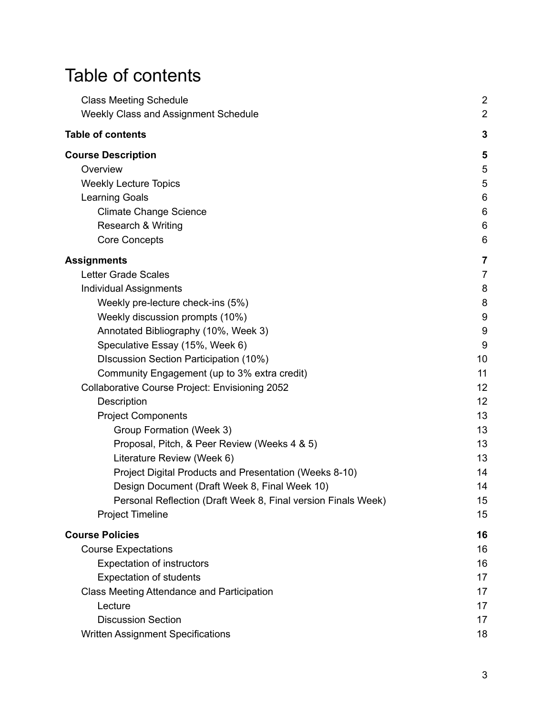# <span id="page-2-0"></span>Table of contents

| <b>Class Meeting Schedule</b>                                 | $\overline{2}$   |
|---------------------------------------------------------------|------------------|
| Weekly Class and Assignment Schedule                          | $\overline{2}$   |
| <b>Table of contents</b>                                      | 3                |
| <b>Course Description</b>                                     | 5                |
| Overview                                                      | 5                |
| <b>Weekly Lecture Topics</b>                                  | 5                |
| <b>Learning Goals</b>                                         | 6                |
| <b>Climate Change Science</b>                                 | $6\,$            |
| Research & Writing                                            | 6                |
| <b>Core Concepts</b>                                          | 6                |
| Assignments                                                   | 7                |
| <b>Letter Grade Scales</b>                                    | $\overline{7}$   |
| <b>Individual Assignments</b>                                 | 8                |
| Weekly pre-lecture check-ins (5%)                             | 8                |
| Weekly discussion prompts (10%)                               | 9                |
| Annotated Bibliography (10%, Week 3)                          | $\boldsymbol{9}$ |
| Speculative Essay (15%, Week 6)                               | 9                |
| DIscussion Section Participation (10%)                        | 10               |
| Community Engagement (up to 3% extra credit)                  | 11               |
| <b>Collaborative Course Project: Envisioning 2052</b>         | 12               |
| Description                                                   | 12               |
| <b>Project Components</b>                                     | 13               |
| Group Formation (Week 3)                                      | 13               |
| Proposal, Pitch, & Peer Review (Weeks 4 & 5)                  | 13               |
| Literature Review (Week 6)                                    | 13               |
| Project Digital Products and Presentation (Weeks 8-10)        | 14               |
| Design Document (Draft Week 8, Final Week 10)                 | 14               |
| Personal Reflection (Draft Week 8, Final version Finals Week) | 15               |
| <b>Project Timeline</b>                                       | 15               |
| <b>Course Policies</b>                                        | 16               |
| <b>Course Expectations</b>                                    | 16               |
| <b>Expectation of instructors</b>                             | 16               |
| <b>Expectation of students</b>                                | 17               |
| Class Meeting Attendance and Participation                    | 17               |
| Lecture                                                       | 17               |
| <b>Discussion Section</b>                                     | 17               |
| <b>Written Assignment Specifications</b>                      | 18               |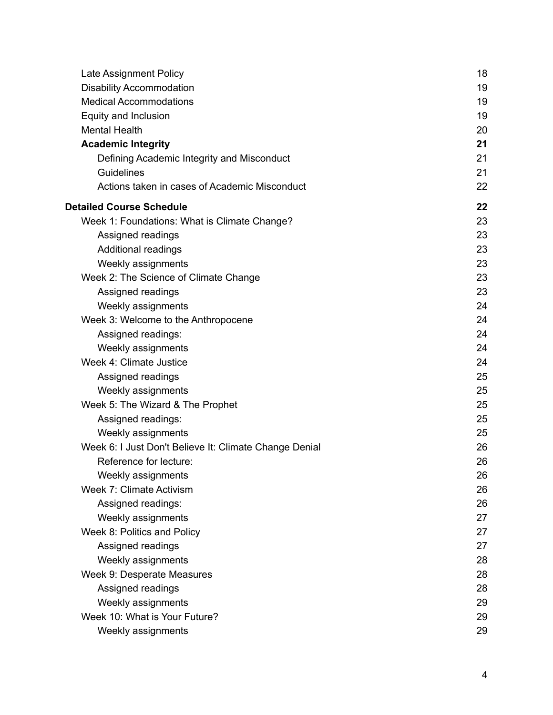| Late Assignment Policy                                 | 18 |
|--------------------------------------------------------|----|
| <b>Disability Accommodation</b>                        | 19 |
| <b>Medical Accommodations</b>                          | 19 |
| Equity and Inclusion                                   | 19 |
| <b>Mental Health</b>                                   | 20 |
| <b>Academic Integrity</b>                              | 21 |
| Defining Academic Integrity and Misconduct             | 21 |
| <b>Guidelines</b>                                      | 21 |
| Actions taken in cases of Academic Misconduct          | 22 |
| <b>Detailed Course Schedule</b>                        | 22 |
| Week 1: Foundations: What is Climate Change?           | 23 |
| Assigned readings                                      | 23 |
| Additional readings                                    | 23 |
| Weekly assignments                                     | 23 |
| Week 2: The Science of Climate Change                  | 23 |
| Assigned readings                                      | 23 |
| Weekly assignments                                     | 24 |
| Week 3: Welcome to the Anthropocene                    | 24 |
| Assigned readings:                                     | 24 |
| Weekly assignments                                     | 24 |
| Week 4: Climate Justice                                | 24 |
| Assigned readings                                      | 25 |
| Weekly assignments                                     | 25 |
| Week 5: The Wizard & The Prophet                       | 25 |
| Assigned readings:                                     | 25 |
| Weekly assignments                                     | 25 |
| Week 6: I Just Don't Believe It: Climate Change Denial | 26 |
| Reference for lecture:                                 | 26 |
| Weekly assignments                                     | 26 |
| Week 7: Climate Activism                               | 26 |
| Assigned readings:                                     | 26 |
| Weekly assignments                                     | 27 |
| Week 8: Politics and Policy                            | 27 |
| Assigned readings                                      | 27 |
| Weekly assignments                                     | 28 |
| Week 9: Desperate Measures                             | 28 |
| Assigned readings                                      | 28 |
| Weekly assignments                                     | 29 |
| Week 10: What is Your Future?                          | 29 |
| Weekly assignments                                     | 29 |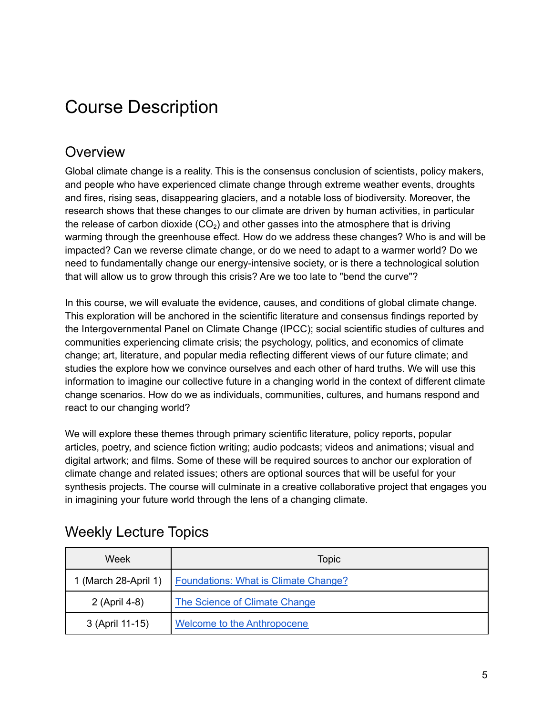# <span id="page-4-0"></span>Course Description

## <span id="page-4-1"></span>**Overview**

Global climate change is a reality. This is the consensus conclusion of scientists, policy makers, and people who have experienced climate change through extreme weather events, droughts and fires, rising seas, disappearing glaciers, and a notable loss of biodiversity. Moreover, the research shows that these changes to our climate are driven by human activities, in particular the release of carbon dioxide (CO<sub>2</sub>) and other gasses into the atmosphere that is driving warming through the greenhouse effect. How do we address these changes? Who is and will be impacted? Can we reverse climate change, or do we need to adapt to a warmer world? Do we need to fundamentally change our energy-intensive society, or is there a technological solution that will allow us to grow through this crisis? Are we too late to "bend the curve"?

In this course, we will evaluate the evidence, causes, and conditions of global climate change. This exploration will be anchored in the scientific literature and consensus findings reported by the Intergovernmental Panel on Climate Change (IPCC); social scientific studies of cultures and communities experiencing climate crisis; the psychology, politics, and economics of climate change; art, literature, and popular media reflecting different views of our future climate; and studies the explore how we convince ourselves and each other of hard truths. We will use this information to imagine our collective future in a changing world in the context of different climate change scenarios. How do we as individuals, communities, cultures, and humans respond and react to our changing world?

We will explore these themes through primary scientific literature, policy reports, popular articles, poetry, and science fiction writing; audio podcasts; videos and animations; visual and digital artwork; and films. Some of these will be required sources to anchor our exploration of climate change and related issues; others are optional sources that will be useful for your synthesis projects. The course will culminate in a creative collaborative project that engages you in imagining your future world through the lens of a changing climate.

| Week                 | <b>Topic</b>                                |
|----------------------|---------------------------------------------|
| 1 (March 28-April 1) | <b>Foundations: What is Climate Change?</b> |
| 2 (April 4-8)        | The Science of Climate Change               |
| 3 (April 11-15)      | Welcome to the Anthropocene                 |

## <span id="page-4-2"></span>Weekly Lecture Topics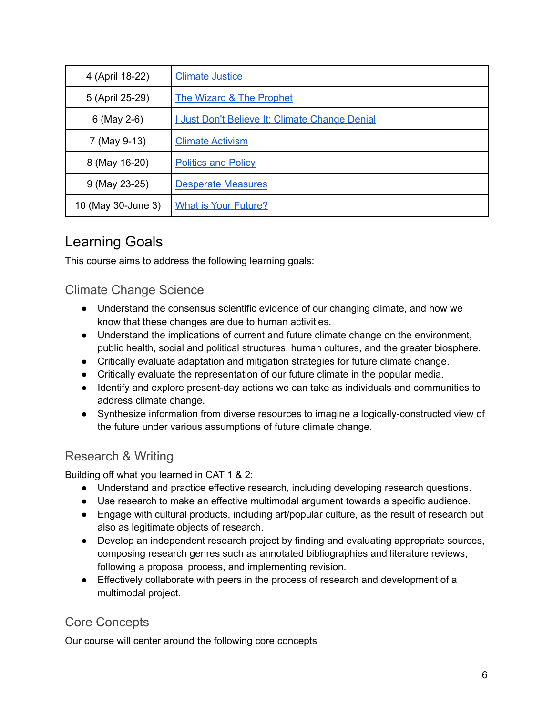| 4 (April 18-22)    | <b>Climate Justice</b>                                |
|--------------------|-------------------------------------------------------|
| 5 (April 25-29)    | <b>The Wizard &amp; The Prophet</b>                   |
| 6 (May 2-6)        | <b>I Just Don't Believe It: Climate Change Denial</b> |
| 7 (May 9-13)       | <b>Climate Activism</b>                               |
| 8 (May 16-20)      | <b>Politics and Policy</b>                            |
| 9 (May 23-25)      | <b>Desperate Measures</b>                             |
| 10 (May 30-June 3) | <b>What is Your Future?</b>                           |

## <span id="page-5-0"></span>Learning Goals

<span id="page-5-1"></span>This course aims to address the following learning goals:

### Climate Change Science

- Understand the consensus scientific evidence of our changing climate, and how we know that these changes are due to human activities.
- Understand the implications of current and future climate change on the environment, public health, social and political structures, human cultures, and the greater biosphere.
- Critically evaluate adaptation and mitigation strategies for future climate change.
- Critically evaluate the representation of our future climate in the popular media.
- Identify and explore present-day actions we can take as individuals and communities to address climate change.
- Synthesize information from diverse resources to imagine a logically-constructed view of the future under various assumptions of future climate change.

## <span id="page-5-2"></span>Research & Writing

Building off what you learned in CAT 1 & 2:

- Understand and practice effective research, including developing research questions.
- Use research to make an effective multimodal argument towards a specific audience.
- Engage with cultural products, including art/popular culture, as the result of research but also as legitimate objects of research.
- Develop an independent research project by finding and evaluating appropriate sources, composing research genres such as annotated bibliographies and literature reviews, following a proposal process, and implementing revision.
- Effectively collaborate with peers in the process of research and development of a multimodal project.

## <span id="page-5-3"></span>Core Concepts

Our course will center around the following core concepts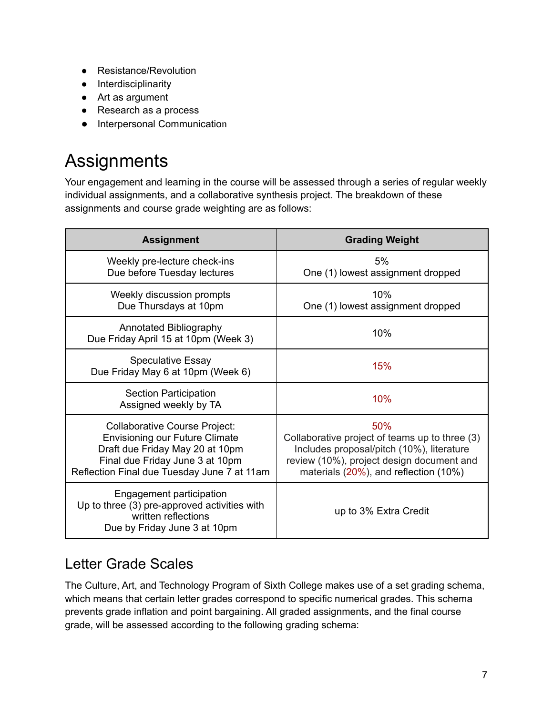- Resistance/Revolution
- Interdisciplinarity
- Art as argument
- Research as a process
- Interpersonal Communication

# <span id="page-6-0"></span>**Assignments**

Your engagement and learning in the course will be assessed through a series of regular weekly individual assignments, and a collaborative synthesis project. The breakdown of these assignments and course grade weighting are as follows:

| <b>Assignment</b>                                                                                                                                                                                  | <b>Grading Weight</b>                                                                                                                                                                    |
|----------------------------------------------------------------------------------------------------------------------------------------------------------------------------------------------------|------------------------------------------------------------------------------------------------------------------------------------------------------------------------------------------|
| Weekly pre-lecture check-ins<br>Due before Tuesday lectures                                                                                                                                        | 5%<br>One (1) lowest assignment dropped                                                                                                                                                  |
| Weekly discussion prompts<br>Due Thursdays at 10pm                                                                                                                                                 | 10%<br>One (1) lowest assignment dropped                                                                                                                                                 |
| Annotated Bibliography<br>Due Friday April 15 at 10pm (Week 3)                                                                                                                                     | 10%                                                                                                                                                                                      |
| <b>Speculative Essay</b><br>Due Friday May 6 at 10pm (Week 6)                                                                                                                                      | 15%                                                                                                                                                                                      |
| Section Participation<br>Assigned weekly by TA                                                                                                                                                     | 10%                                                                                                                                                                                      |
| <b>Collaborative Course Project:</b><br><b>Envisioning our Future Climate</b><br>Draft due Friday May 20 at 10pm<br>Final due Friday June 3 at 10pm<br>Reflection Final due Tuesday June 7 at 11am | 50%<br>Collaborative project of teams up to three (3)<br>Includes proposal/pitch (10%), literature<br>review (10%), project design document and<br>materials (20%), and reflection (10%) |
| Engagement participation<br>Up to three (3) pre-approved activities with<br>written reflections<br>Due by Friday June 3 at 10pm                                                                    | up to 3% Extra Credit                                                                                                                                                                    |

## <span id="page-6-1"></span>Letter Grade Scales

The Culture, Art, and Technology Program of Sixth College makes use of a set grading schema, which means that certain letter grades correspond to specific numerical grades. This schema prevents grade inflation and point bargaining. All graded assignments, and the final course grade, will be assessed according to the following grading schema: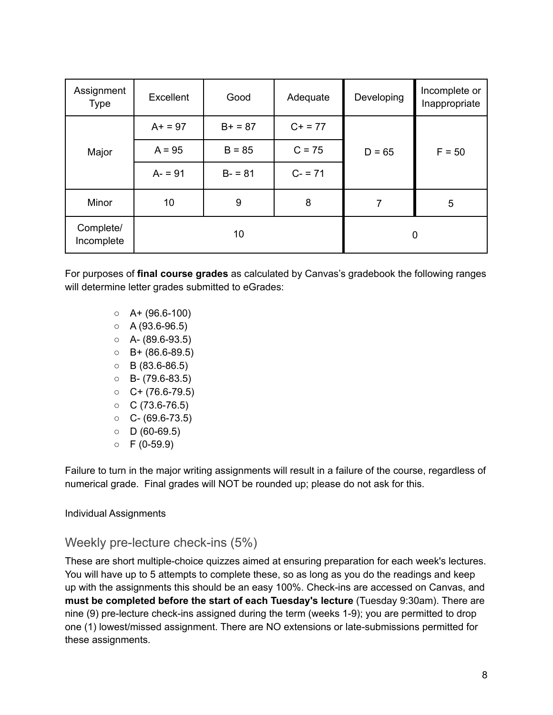| Assignment<br><b>Type</b> | Excellent | Good      | Adequate   | Developing     | Incomplete or<br>Inappropriate |
|---------------------------|-----------|-----------|------------|----------------|--------------------------------|
|                           | $A+ = 97$ | $B+ = 87$ | $C + = 77$ |                |                                |
| Major                     | $A = 95$  | $B = 85$  | $C = 75$   | $D = 65$       | $F = 50$                       |
|                           | $A - 91$  | $B - 81$  | $C - 71$   |                |                                |
| Minor                     | 10        | 9         | 8          | $\overline{7}$ | 5                              |
| Complete/<br>Incomplete   | 10        |           |            | 0              |                                |

For purposes of **final course grades** as calculated by Canvas's gradebook the following ranges will determine letter grades submitted to eGrades:

- $O$  A+ (96.6-100)
- $O$  A (93.6-96.5)
- $O$  A- (89.6-93.5)
- $O$  B+ (86.6-89.5)
- $O$  B (83.6-86.5)
- $O$  B- (79.6-83.5)
- $O + (76.6-79.5)$
- $O$   $C$  (73.6-76.5)
- $O C (69.6 73.5)$
- $O$  D (60-69.5)
- $O$  F (0-59.9)

Failure to turn in the major writing assignments will result in a failure of the course, regardless of numerical grade. Final grades will NOT be rounded up; please do not ask for this.

#### <span id="page-7-0"></span>Individual Assignments

### <span id="page-7-1"></span>Weekly pre-lecture check-ins (5%)

These are short multiple-choice quizzes aimed at ensuring preparation for each week's lectures. You will have up to 5 attempts to complete these, so as long as you do the readings and keep up with the assignments this should be an easy 100%. Check-ins are accessed on Canvas, and **must be completed before the start of each Tuesday's lecture** (Tuesday 9:30am). There are nine (9) pre-lecture check-ins assigned during the term (weeks 1-9); you are permitted to drop one (1) lowest/missed assignment. There are NO extensions or late-submissions permitted for these assignments.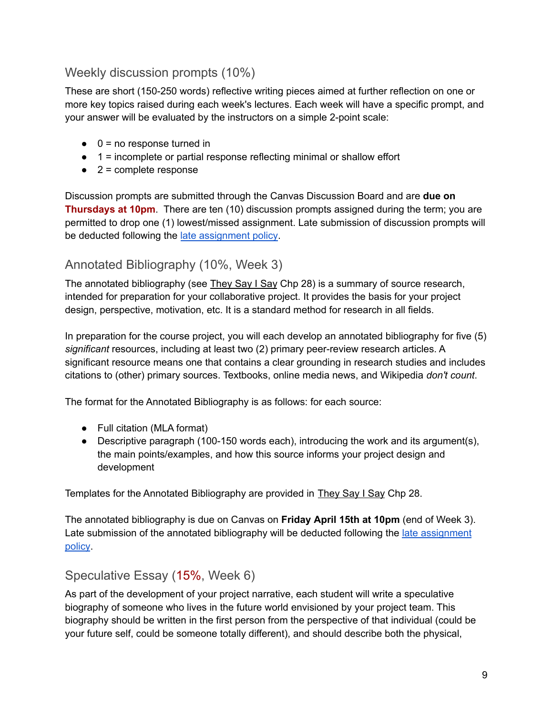## <span id="page-8-0"></span>Weekly discussion prompts (10%)

These are short (150-250 words) reflective writing pieces aimed at further reflection on one or more key topics raised during each week's lectures. Each week will have a specific prompt, and your answer will be evaluated by the instructors on a simple 2-point scale:

- $\bullet$  0 = no response turned in
- $\bullet$  1 = incomplete or partial response reflecting minimal or shallow effort
- $\bullet$  2 = complete response

Discussion prompts are submitted through the Canvas Discussion Board and are **due on Thursdays at 10pm**. There are ten (10) discussion prompts assigned during the term; you are permitted to drop one (1) lowest/missed assignment. Late submission of discussion prompts will be deducted following the late [assignment](#page-17-1) policy.

### <span id="page-8-1"></span>Annotated Bibliography (10%, Week 3)

The annotated bibliography (see They Say I Say Chp 28) is a summary of source research, intended for preparation for your collaborative project. It provides the basis for your project design, perspective, motivation, etc. It is a standard method for research in all fields.

In preparation for the course project, you will each develop an annotated bibliography for five (5) *significant* resources, including at least two (2) primary peer-review research articles. A significant resource means one that contains a clear grounding in research studies and includes citations to (other) primary sources. Textbooks, online media news, and Wikipedia *don't count*.

The format for the Annotated Bibliography is as follows: for each source:

- Full citation (MLA format)
- Descriptive paragraph (100-150 words each), introducing the work and its argument(s), the main points/examples, and how this source informs your project design and development

Templates for the Annotated Bibliography are provided in They Say I Say Chp 28.

The annotated bibliography is due on Canvas on **Friday April 15th at 10pm** (end of Week 3). Late submission of the annotated bibliography will be deducted following the late [assignment](#page-17-1) [policy](#page-17-1).

### <span id="page-8-2"></span>Speculative Essay (15%, Week 6)

As part of the development of your project narrative, each student will write a speculative biography of someone who lives in the future world envisioned by your project team. This biography should be written in the first person from the perspective of that individual (could be your future self, could be someone totally different), and should describe both the physical,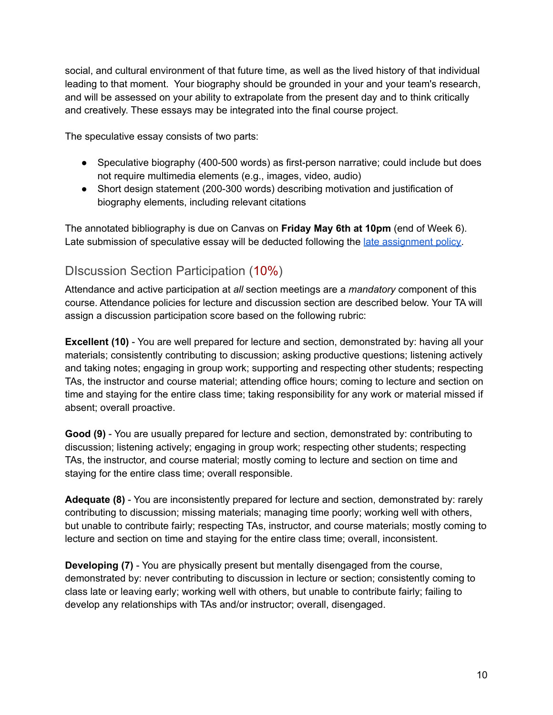social, and cultural environment of that future time, as well as the lived history of that individual leading to that moment. Your biography should be grounded in your and your team's research, and will be assessed on your ability to extrapolate from the present day and to think critically and creatively. These essays may be integrated into the final course project.

The speculative essay consists of two parts:

- Speculative biography (400-500 words) as first-person narrative; could include but does not require multimedia elements (e.g., images, video, audio)
- Short design statement (200-300 words) describing motivation and justification of biography elements, including relevant citations

The annotated bibliography is due on Canvas on **Friday May 6th at 10pm** (end of Week 6). Late submission of speculative essay will be deducted following the late [assignment](#page-17-1) policy.

## <span id="page-9-0"></span>DIscussion Section Participation (10%)

Attendance and active participation at *all* section meetings are a *mandatory* component of this course. Attendance policies for lecture and discussion section are described below. Your TA will assign a discussion participation score based on the following rubric:

**Excellent (10)** - You are well prepared for lecture and section, demonstrated by: having all your materials; consistently contributing to discussion; asking productive questions; listening actively and taking notes; engaging in group work; supporting and respecting other students; respecting TAs, the instructor and course material; attending office hours; coming to lecture and section on time and staying for the entire class time; taking responsibility for any work or material missed if absent; overall proactive.

**Good (9)** - You are usually prepared for lecture and section, demonstrated by: contributing to discussion; listening actively; engaging in group work; respecting other students; respecting TAs, the instructor, and course material; mostly coming to lecture and section on time and staying for the entire class time; overall responsible.

**Adequate (8)** - You are inconsistently prepared for lecture and section, demonstrated by: rarely contributing to discussion; missing materials; managing time poorly; working well with others, but unable to contribute fairly; respecting TAs, instructor, and course materials; mostly coming to lecture and section on time and staying for the entire class time; overall, inconsistent.

**Developing (7)** - You are physically present but mentally disengaged from the course, demonstrated by: never contributing to discussion in lecture or section; consistently coming to class late or leaving early; working well with others, but unable to contribute fairly; failing to develop any relationships with TAs and/or instructor; overall, disengaged.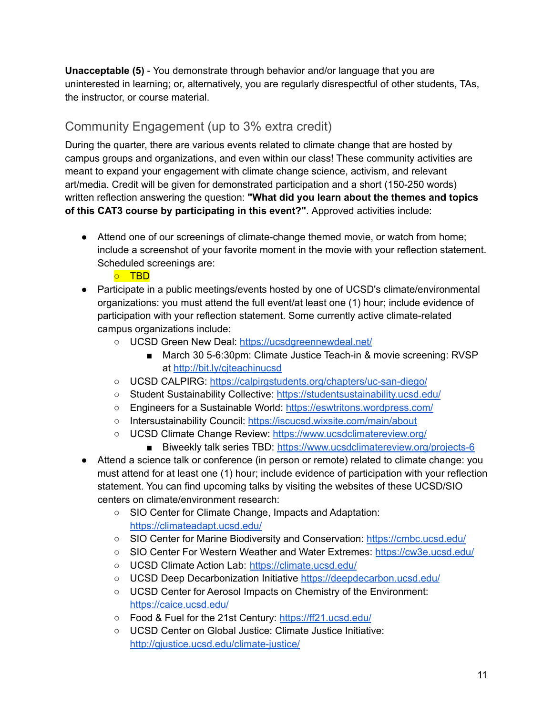**Unacceptable (5)** - You demonstrate through behavior and/or language that you are uninterested in learning; or, alternatively, you are regularly disrespectful of other students, TAs, the instructor, or course material.

## <span id="page-10-0"></span>Community Engagement (up to 3% extra credit)

During the quarter, there are various events related to climate change that are hosted by campus groups and organizations, and even within our class! These community activities are meant to expand your engagement with climate change science, activism, and relevant art/media. Credit will be given for demonstrated participation and a short (150-250 words) written reflection answering the question: **"What did you learn about the themes and topics of this CAT3 course by participating in this event?"**. Approved activities include:

● Attend one of our screenings of climate-change themed movie, or watch from home; include a screenshot of your favorite moment in the movie with your reflection statement. Scheduled screenings are:

○ TBD

- Participate in a public meetings/events hosted by one of UCSD's climate/environmental organizations: you must attend the full event/at least one (1) hour; include evidence of participation with your reflection statement. Some currently active climate-related campus organizations include:
	- o UCSD Green New Deal: <https://ucsdgreennewdeal.net/>
		- March 30 5-6:30pm: Climate Justice Teach-in & movie screening: RVSP at <http://bit.ly/cjteachinucsd>
	- UCSD CALPIRG: <https://calpirgstudents.org/chapters/uc-san-diego/>
	- Student Sustainability Collective: <https://studentsustainability.ucsd.edu/>
	- Engineers for a Sustainable World: <https://eswtritons.wordpress.com/>
	- Intersustainability Council: <https://iscucsd.wixsite.com/main/about>
	- UCSD Climate Change Review: <https://www.ucsdclimatereview.org/>
		- Biweekly talk series TBD: <https://www.ucsdclimatereview.org/projects-6>
- Attend a science talk or conference (in person or remote) related to climate change: you must attend for at least one (1) hour; include evidence of participation with your reflection statement. You can find upcoming talks by visiting the websites of these UCSD/SIO centers on climate/environment research:
	- SIO Center for Climate Change, Impacts and Adaptation: <https://climateadapt.ucsd.edu/>
	- SIO Center for Marine Biodiversity and Conservation: <https://cmbc.ucsd.edu/>
	- SIO Center For Western Weather and Water Extremes: <https://cw3e.ucsd.edu/>
	- UCSD Climate Action Lab: <https://climate.ucsd.edu/>
	- UCSD Deep Decarbonization Initiative <https://deepdecarbon.ucsd.edu/>
	- UCSD Center for Aerosol Impacts on Chemistry of the Environment: <https://caice.ucsd.edu/>
	- Food & Fuel for the 21st Century: <https://ff21.ucsd.edu/>
	- UCSD Center on Global Justice: Climate Justice Initiative: <http://gjustice.ucsd.edu/climate-justice/>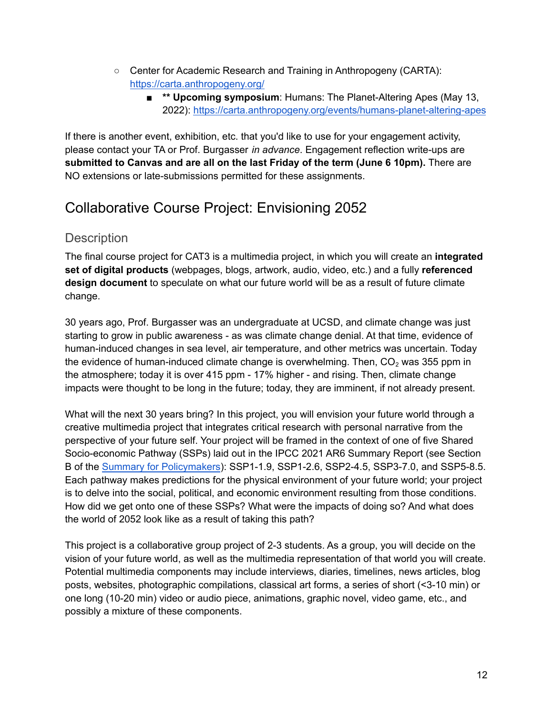- Center for Academic Research and Training in Anthropogeny (CARTA): <https://carta.anthropogeny.org/>
	- **\*\* Upcoming symposium**: Humans: The Planet-Altering Apes (May 13, 2022): <https://carta.anthropogeny.org/events/humans-planet-altering-apes>

If there is another event, exhibition, etc. that you'd like to use for your engagement activity, please contact your TA or Prof. Burgasser *in advance*. Engagement reflection write-ups are **submitted to Canvas and are all on the last Friday of the term (June 6 10pm).** There are NO extensions or late-submissions permitted for these assignments.

## <span id="page-11-0"></span>Collaborative Course Project: Envisioning 2052

### <span id="page-11-1"></span>**Description**

The final course project for CAT3 is a multimedia project, in which you will create an **integrated set of digital products** (webpages, blogs, artwork, audio, video, etc.) and a fully **referenced design document** to speculate on what our future world will be as a result of future climate change.

30 years ago, Prof. Burgasser was an undergraduate at UCSD, and climate change was just starting to grow in public awareness - as was climate change denial. At that time, evidence of human-induced changes in sea level, air temperature, and other metrics was uncertain. Today the evidence of human-induced climate change is overwhelming. Then,  $CO<sub>2</sub>$  was 355 ppm in the atmosphere; today it is over 415 ppm - 17% higher - and rising. Then, climate change impacts were thought to be long in the future; today, they are imminent, if not already present.

What will the next 30 years bring? In this project, you will envision your future world through a creative multimedia project that integrates critical research with personal narrative from the perspective of your future self. Your project will be framed in the context of one of five Shared Socio-economic Pathway (SSPs) laid out in the IPCC 2021 AR6 Summary Report (see Section B of the Summary for [Policymakers](https://www.ipcc.ch/report/ar6/wg1/downloads/report/IPCC_AR6_WGI_SPM_final.pdf)): SSP1-1.9, SSP1-2.6, SSP2-4.5, SSP3-7.0, and SSP5-8.5. Each pathway makes predictions for the physical environment of your future world; your project is to delve into the social, political, and economic environment resulting from those conditions. How did we get onto one of these SSPs? What were the impacts of doing so? And what does the world of 2052 look like as a result of taking this path?

This project is a collaborative group project of 2-3 students. As a group, you will decide on the vision of your future world, as well as the multimedia representation of that world you will create. Potential multimedia components may include interviews, diaries, timelines, news articles, blog posts, websites, photographic compilations, classical art forms, a series of short (<3-10 min) or one long (10-20 min) video or audio piece, animations, graphic novel, video game, etc., and possibly a mixture of these components.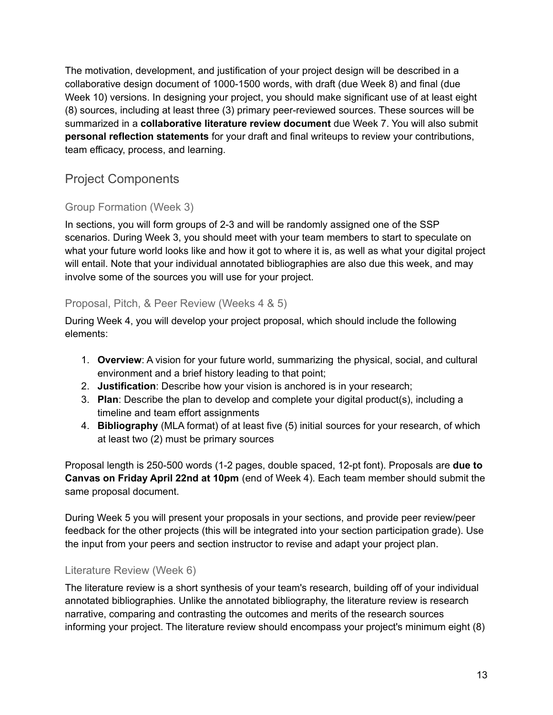The motivation, development, and justification of your project design will be described in a collaborative design document of 1000-1500 words, with draft (due Week 8) and final (due Week 10) versions. In designing your project, you should make significant use of at least eight (8) sources, including at least three (3) primary peer-reviewed sources. These sources will be summarized in a **collaborative literature review document** due Week 7. You will also submit **personal reflection statements** for your draft and final writeups to review your contributions, team efficacy, process, and learning.

### <span id="page-12-0"></span>Project Components

### <span id="page-12-1"></span>Group Formation (Week 3)

In sections, you will form groups of 2-3 and will be randomly assigned one of the SSP scenarios. During Week 3, you should meet with your team members to start to speculate on what your future world looks like and how it got to where it is, as well as what your digital project will entail. Note that your individual annotated bibliographies are also due this week, and may involve some of the sources you will use for your project.

#### <span id="page-12-2"></span>Proposal, Pitch, & Peer Review (Weeks 4 & 5)

During Week 4, you will develop your project proposal, which should include the following elements:

- 1. **Overview**: A vision for your future world, summarizing the physical, social, and cultural environment and a brief history leading to that point;
- 2. **Justification**: Describe how your vision is anchored is in your research;
- 3. **Plan**: Describe the plan to develop and complete your digital product(s), including a timeline and team effort assignments
- 4. **Bibliography** (MLA format) of at least five (5) initial sources for your research, of which at least two (2) must be primary sources

Proposal length is 250-500 words (1-2 pages, double spaced, 12-pt font). Proposals are **due to Canvas on Friday April 22nd at 10pm** (end of Week 4). Each team member should submit the same proposal document.

During Week 5 you will present your proposals in your sections, and provide peer review/peer feedback for the other projects (this will be integrated into your section participation grade). Use the input from your peers and section instructor to revise and adapt your project plan.

#### <span id="page-12-3"></span>Literature Review (Week 6)

The literature review is a short synthesis of your team's research, building off of your individual annotated bibliographies. Unlike the annotated bibliography, the literature review is research narrative, comparing and contrasting the outcomes and merits of the research sources informing your project. The literature review should encompass your project's minimum eight (8)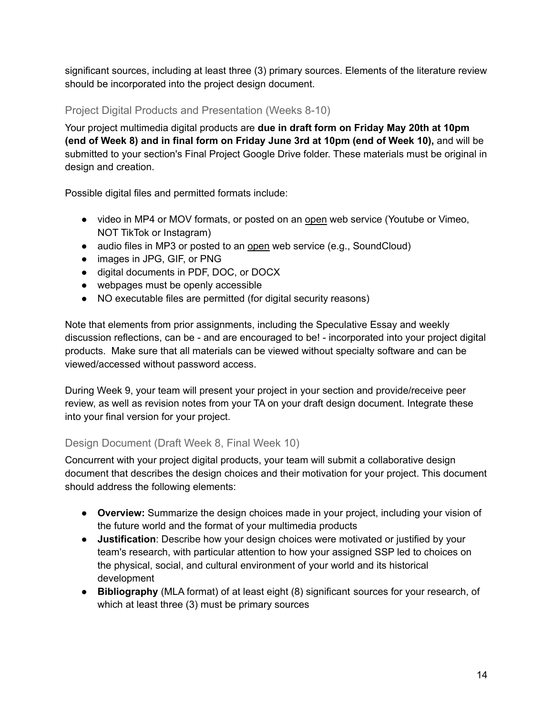significant sources, including at least three (3) primary sources. Elements of the literature review should be incorporated into the project design document.

#### <span id="page-13-0"></span>Project Digital Products and Presentation (Weeks 8-10)

Your project multimedia digital products are **due in draft form on Friday May 20th at 10pm (end of Week 8) and in final form on Friday June 3rd at 10pm (end of Week 10),** and will be submitted to your section's Final Project Google Drive folder. These materials must be original in design and creation.

Possible digital files and permitted formats include:

- video in MP4 or MOV formats, or posted on an open web service (Youtube or Vimeo, NOT TikTok or Instagram)
- audio files in MP3 or posted to an open web service (e.g., SoundCloud)
- images in JPG, GIF, or PNG
- digital documents in PDF, DOC, or DOCX
- webpages must be openly accessible
- NO executable files are permitted (for digital security reasons)

Note that elements from prior assignments, including the Speculative Essay and weekly discussion reflections, can be - and are encouraged to be! - incorporated into your project digital products. Make sure that all materials can be viewed without specialty software and can be viewed/accessed without password access.

During Week 9, your team will present your project in your section and provide/receive peer review, as well as revision notes from your TA on your draft design document. Integrate these into your final version for your project.

#### <span id="page-13-1"></span>Design Document (Draft Week 8, Final Week 10)

Concurrent with your project digital products, your team will submit a collaborative design document that describes the design choices and their motivation for your project. This document should address the following elements:

- **Overview:** Summarize the design choices made in your project, including your vision of the future world and the format of your multimedia products
- **Justification**: Describe how your design choices were motivated or justified by your team's research, with particular attention to how your assigned SSP led to choices on the physical, social, and cultural environment of your world and its historical development
- **Bibliography** (MLA format) of at least eight (8) significant sources for your research, of which at least three (3) must be primary sources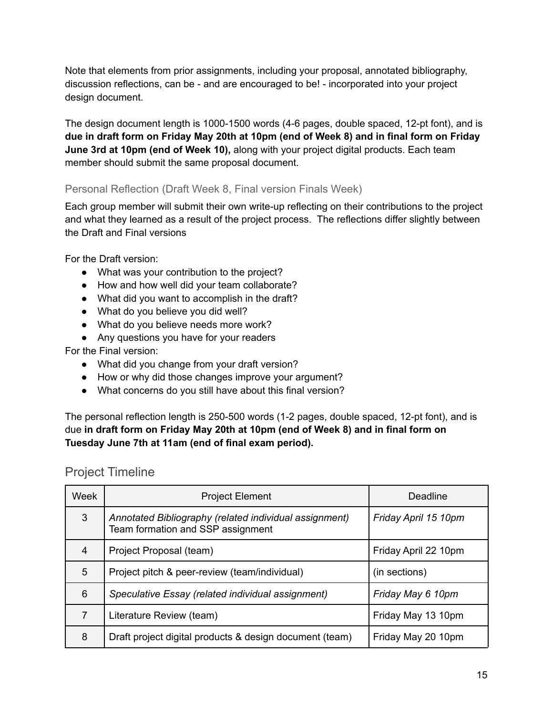Note that elements from prior assignments, including your proposal, annotated bibliography, discussion reflections, can be - and are encouraged to be! - incorporated into your project design document.

The design document length is 1000-1500 words (4-6 pages, double spaced, 12-pt font), and is due in draft form on Friday May 20th at 10pm (end of Week 8) and in final form on Friday **June 3rd at 10pm (end of Week 10),** along with your project digital products. Each team member should submit the same proposal document.

#### <span id="page-14-0"></span>Personal Reflection (Draft Week 8, Final version Finals Week)

Each group member will submit their own write-up reflecting on their contributions to the project and what they learned as a result of the project process. The reflections differ slightly between the Draft and Final versions

For the Draft version:

- What was your contribution to the project?
- How and how well did your team collaborate?
- What did you want to accomplish in the draft?
- What do you believe you did well?
- What do you believe needs more work?
- Any questions you have for your readers

For the Final version:

- What did you change from your draft version?
- How or why did those changes improve your argument?
- What concerns do you still have about this final version?

The personal reflection length is 250-500 words (1-2 pages, double spaced, 12-pt font), and is due **in draft form on Friday May 20th at 10pm (end of Week 8) and in final form on Tuesday June 7th at 11am (end of final exam period).**

### <span id="page-14-1"></span>Project Timeline

| <b>Week</b> | <b>Project Element</b>                                                                      | Deadline             |
|-------------|---------------------------------------------------------------------------------------------|----------------------|
| 3           | Annotated Bibliography (related individual assignment)<br>Team formation and SSP assignment | Friday April 15 10pm |
| 4           | Project Proposal (team)                                                                     | Friday April 22 10pm |
| 5           | Project pitch & peer-review (team/individual)                                               | (in sections)        |
| 6           | Speculative Essay (related individual assignment)                                           | Friday May 6 10pm    |
| 7           | Literature Review (team)                                                                    | Friday May 13 10pm   |
| 8           | Draft project digital products & design document (team)                                     | Friday May 20 10pm   |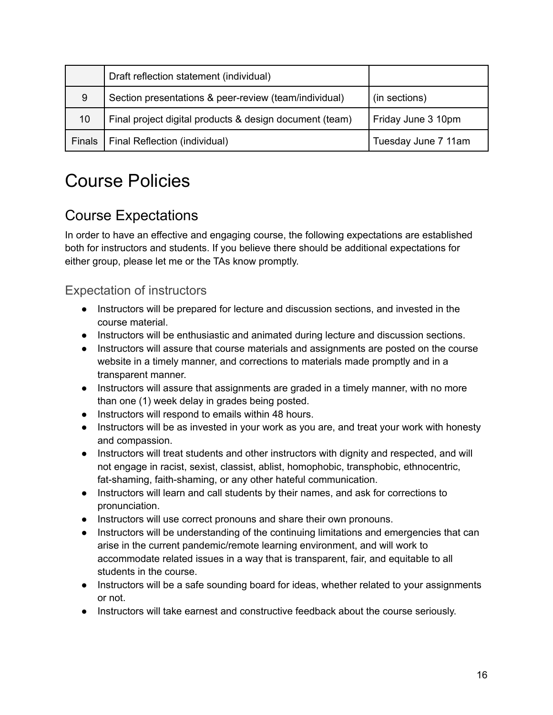|        | Draft reflection statement (individual)                 |                     |
|--------|---------------------------------------------------------|---------------------|
| 9      | Section presentations & peer-review (team/individual)   | (in sections)       |
| 10     | Final project digital products & design document (team) | Friday June 3 10pm  |
| Finals | Final Reflection (individual)                           | Tuesday June 7 11am |

# <span id="page-15-0"></span>Course Policies

## <span id="page-15-1"></span>Course Expectations

In order to have an effective and engaging course, the following expectations are established both for instructors and students. If you believe there should be additional expectations for either group, please let me or the TAs know promptly.

## <span id="page-15-2"></span>Expectation of instructors

- Instructors will be prepared for lecture and discussion sections, and invested in the course material.
- Instructors will be enthusiastic and animated during lecture and discussion sections.
- Instructors will assure that course materials and assignments are posted on the course website in a timely manner, and corrections to materials made promptly and in a transparent manner.
- Instructors will assure that assignments are graded in a timely manner, with no more than one (1) week delay in grades being posted.
- Instructors will respond to emails within 48 hours.
- Instructors will be as invested in your work as you are, and treat your work with honesty and compassion.
- Instructors will treat students and other instructors with dignity and respected, and will not engage in racist, sexist, classist, ablist, homophobic, transphobic, ethnocentric, fat-shaming, faith-shaming, or any other hateful communication.
- Instructors will learn and call students by their names, and ask for corrections to pronunciation.
- Instructors will use correct pronouns and share their own pronouns.
- Instructors will be understanding of the continuing limitations and emergencies that can arise in the current pandemic/remote learning environment, and will work to accommodate related issues in a way that is transparent, fair, and equitable to all students in the course.
- Instructors will be a safe sounding board for ideas, whether related to your assignments or not.
- Instructors will take earnest and constructive feedback about the course seriously.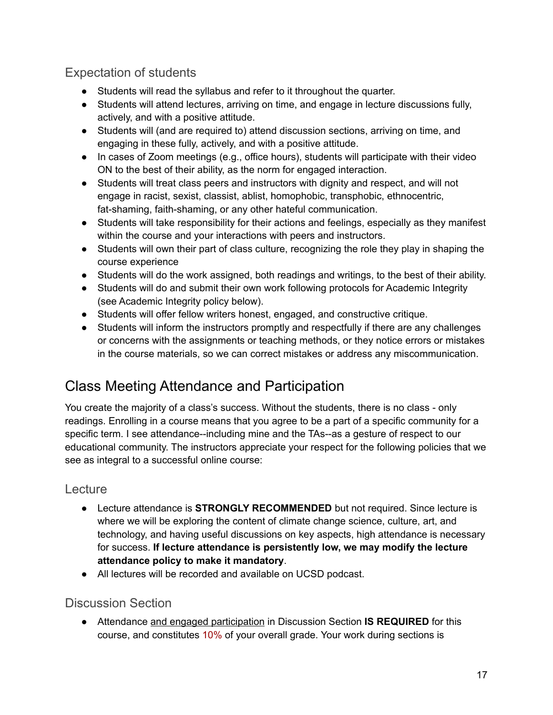## <span id="page-16-0"></span>Expectation of students

- Students will read the syllabus and refer to it throughout the quarter.
- Students will attend lectures, arriving on time, and engage in lecture discussions fully, actively, and with a positive attitude.
- Students will (and are required to) attend discussion sections, arriving on time, and engaging in these fully, actively, and with a positive attitude.
- In cases of Zoom meetings (e.g., office hours), students will participate with their video ON to the best of their ability, as the norm for engaged interaction.
- Students will treat class peers and instructors with dignity and respect, and will not engage in racist, sexist, classist, ablist, homophobic, transphobic, ethnocentric, fat-shaming, faith-shaming, or any other hateful communication.
- Students will take responsibility for their actions and feelings, especially as they manifest within the course and your interactions with peers and instructors.
- Students will own their part of class culture, recognizing the role they play in shaping the course experience
- Students will do the work assigned, both readings and writings, to the best of their ability.
- Students will do and submit their own work following protocols for Academic Integrity (see Academic Integrity policy below).
- Students will offer fellow writers honest, engaged, and constructive critique.
- Students will inform the instructors promptly and respectfully if there are any challenges or concerns with the assignments or teaching methods, or they notice errors or mistakes in the course materials, so we can correct mistakes or address any miscommunication.

## <span id="page-16-1"></span>Class Meeting Attendance and Participation

You create the majority of a class's success. Without the students, there is no class - only readings. Enrolling in a course means that you agree to be a part of a specific community for a specific term. I see attendance--including mine and the TAs--as a gesture of respect to our educational community. The instructors appreciate your respect for the following policies that we see as integral to a successful online course:

### <span id="page-16-2"></span>Lecture

- Lecture attendance is **STRONGLY RECOMMENDED** but not required. Since lecture is where we will be exploring the content of climate change science, culture, art, and technology, and having useful discussions on key aspects, high attendance is necessary for success. **If lecture attendance is persistently low, we may modify the lecture attendance policy to make it mandatory**.
- All lectures will be recorded and available on UCSD podcast.

### <span id="page-16-3"></span>Discussion Section

● Attendance and engaged participation in Discussion Section **IS REQUIRED** for this course, and constitutes 10% of your overall grade. Your work during sections is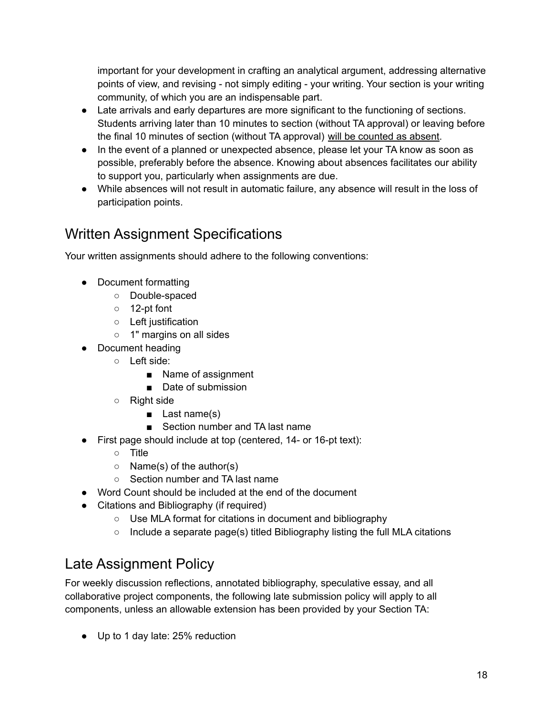important for your development in crafting an analytical argument, addressing alternative points of view, and revising - not simply editing - your writing. Your section is your writing community, of which you are an indispensable part.

- Late arrivals and early departures are more significant to the functioning of sections. Students arriving later than 10 minutes to section (without TA approval) or leaving before the final 10 minutes of section (without TA approval) will be counted as absent.
- In the event of a planned or unexpected absence, please let your TA know as soon as possible, preferably before the absence. Knowing about absences facilitates our ability to support you, particularly when assignments are due.
- While absences will not result in automatic failure, any absence will result in the loss of participation points.

## <span id="page-17-0"></span>Written Assignment Specifications

Your written assignments should adhere to the following conventions:

- Document formatting
	- Double-spaced
	- 12-pt font
	- Left justification
	- 1" margins on all sides
- Document heading
	- Left side:
		- Name of assignment
		- Date of submission
	- Right side
		- Last name(s)
		- Section number and TA last name
- First page should include at top (centered, 14- or 16-pt text):
	- Title
	- $\circ$  Name(s) of the author(s)
	- Section number and TA last name
- Word Count should be included at the end of the document
- Citations and Bibliography (if required)
	- Use MLA format for citations in document and bibliography
	- Include a separate page(s) titled Bibliography listing the full MLA citations

## <span id="page-17-1"></span>Late Assignment Policy

For weekly discussion reflections, annotated bibliography, speculative essay, and all collaborative project components, the following late submission policy will apply to all components, unless an allowable extension has been provided by your Section TA:

● Up to 1 day late: 25% reduction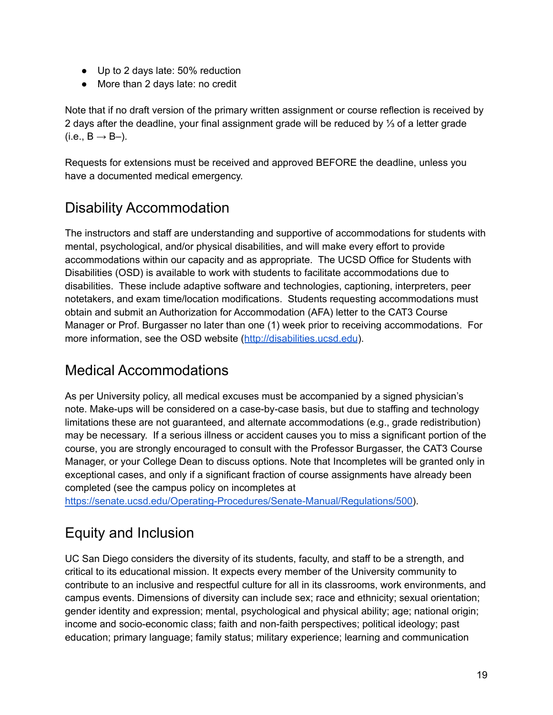- Up to 2 days late: 50% reduction
- More than 2 days late: no credit

Note that if no draft version of the primary written assignment or course reflection is received by 2 days after the deadline, your final assignment grade will be reduced by ⅓ of a letter grade  $(i.e., B \rightarrow B-)$ .

Requests for extensions must be received and approved BEFORE the deadline, unless you have a documented medical emergency.

## <span id="page-18-0"></span>Disability Accommodation

The instructors and staff are understanding and supportive of accommodations for students with mental, psychological, and/or physical disabilities, and will make every effort to provide accommodations within our capacity and as appropriate. The UCSD Office for Students with Disabilities (OSD) is available to work with students to facilitate accommodations due to disabilities. These include adaptive software and technologies, captioning, interpreters, peer notetakers, and exam time/location modifications. Students requesting accommodations must obtain and submit an Authorization for Accommodation (AFA) letter to the CAT3 Course Manager or Prof. Burgasser no later than one (1) week prior to receiving accommodations. For more information, see the OSD website (<http://disabilities.ucsd.edu>).

## <span id="page-18-1"></span>Medical Accommodations

As per University policy, all medical excuses must be accompanied by a signed physician's note. Make-ups will be considered on a case-by-case basis, but due to staffing and technology limitations these are not guaranteed, and alternate accommodations (e.g., grade redistribution) may be necessary. If a serious illness or accident causes you to miss a significant portion of the course, you are strongly encouraged to consult with the Professor Burgasser, the CAT3 Course Manager, or your College Dean to discuss options. Note that Incompletes will be granted only in exceptional cases, and only if a significant fraction of course assignments have already been completed (see the campus policy on incompletes at

<span id="page-18-2"></span>[https://senate.ucsd.edu/Operating-Procedures/Senate-Manual/Regulations/500\)](https://senate.ucsd.edu/Operating-Procedures/Senate-Manual/Regulations/500).

## Equity and Inclusion

UC San Diego considers the diversity of its students, faculty, and staff to be a strength, and critical to its educational mission. It expects every member of the University community to contribute to an inclusive and respectful culture for all in its classrooms, work environments, and campus events. Dimensions of diversity can include sex; race and ethnicity; sexual orientation; gender identity and expression; mental, psychological and physical ability; age; national origin; income and socio-economic class; faith and non-faith perspectives; political ideology; past education; primary language; family status; military experience; learning and communication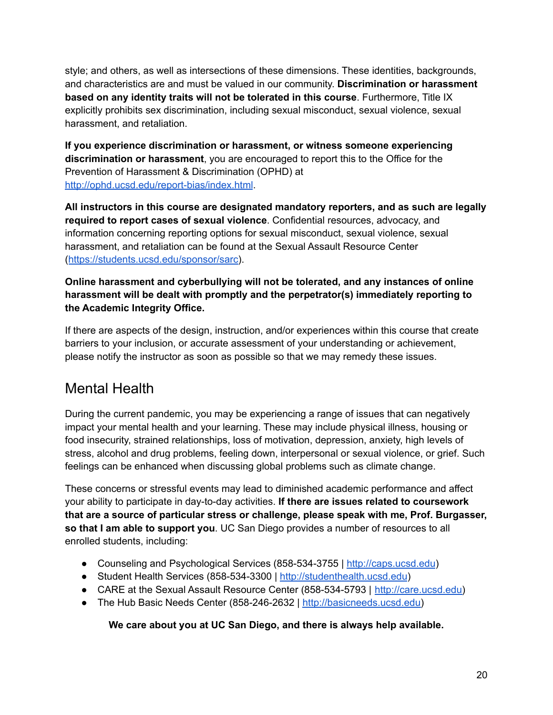style; and others, as well as intersections of these dimensions. These identities, backgrounds, and characteristics are and must be valued in our community. **Discrimination or harassment based on any identity traits will not be tolerated in this course**. Furthermore, Title IX explicitly prohibits sex discrimination, including sexual misconduct, sexual violence, sexual harassment, and retaliation.

**If you experience discrimination or harassment, or witness someone experiencing discrimination or harassment**, you are encouraged to report this to the Office for the Prevention of Harassment & Discrimination (OPHD) at <http://ophd.ucsd.edu/report-bias/index.html>.

**All instructors in this course are designated mandatory reporters, and as such are legally required to report cases of sexual violence**. Confidential resources, advocacy, and information concerning reporting options for sexual misconduct, sexual violence, sexual harassment, and retaliation can be found at the Sexual Assault Resource Center ([https://students.ucsd.edu/sponsor/sarc\)](https://students.ucsd.edu/sponsor/sarc).

#### **Online harassment and cyberbullying will not be tolerated, and any instances of online harassment will be dealt with promptly and the perpetrator(s) immediately reporting to the Academic Integrity Office.**

If there are aspects of the design, instruction, and/or experiences within this course that create barriers to your inclusion, or accurate assessment of your understanding or achievement, please notify the instructor as soon as possible so that we may remedy these issues.

## <span id="page-19-0"></span>Mental Health

During the current pandemic, you may be experiencing a range of issues that can negatively impact your mental health and your learning. These may include physical illness, housing or food insecurity, strained relationships, loss of motivation, depression, anxiety, high levels of stress, alcohol and drug problems, feeling down, interpersonal or sexual violence, or grief. Such feelings can be enhanced when discussing global problems such as climate change.

These concerns or stressful events may lead to diminished academic performance and affect your ability to participate in day-to-day activities. **If there are issues related to coursework that are a source of particular stress or challenge, please speak with me, Prof. Burgasser, so that I am able to support you**. UC San Diego provides a number of resources to all enrolled students, including:

- Counseling and Psychological Services (858-534-3755 | <http://caps.ucsd.edu>)
- Student Health Services (858-534-3300 | <http://studenthealth.ucsd.edu>)
- CARE at the Sexual Assault Resource Center (858-534-5793 | [http://care.ucsd.edu\)](http://care.ucsd.edu)
- The Hub Basic Needs Center (858-246-2632 | [http://basicneeds.ucsd.edu\)](http://basicneeds.ucsd.edu)

#### **We care about you at UC San Diego, and there is always help available.**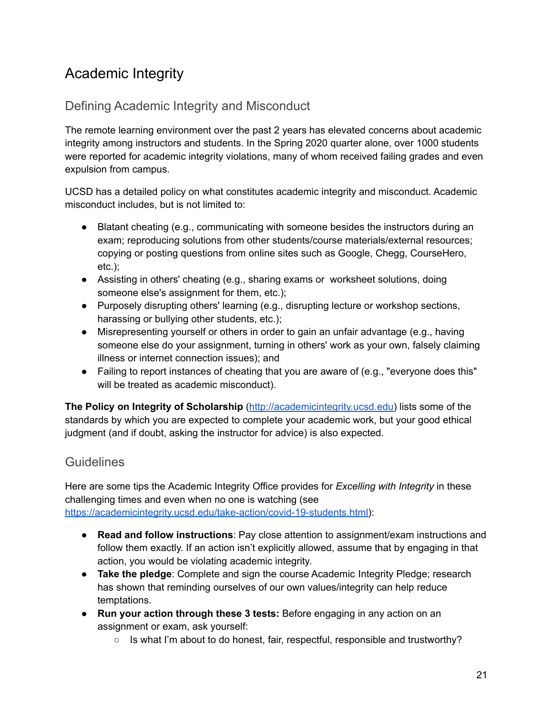## <span id="page-20-0"></span>Academic Integrity

## <span id="page-20-1"></span>Defining Academic Integrity and Misconduct

The remote learning environment over the past 2 years has elevated concerns about academic integrity among instructors and students. In the Spring 2020 quarter alone, over 1000 students were reported for academic integrity violations, many of whom received failing grades and even expulsion from campus.

UCSD has a detailed policy on what constitutes academic integrity and misconduct. Academic misconduct includes, but is not limited to:

- Blatant cheating (e.g., communicating with someone besides the instructors during an exam; reproducing solutions from other students/course materials/external resources; copying or posting questions from online sites such as Google, Chegg, CourseHero, etc.);
- Assisting in others' cheating (e.g., sharing exams or worksheet solutions, doing someone else's assignment for them, etc.);
- Purposely disrupting others' learning (e.g., disrupting lecture or workshop sections, harassing or bullying other students, etc.);
- Misrepresenting yourself or others in order to gain an unfair advantage (e.g., having someone else do your assignment, turning in others' work as your own, falsely claiming illness or internet connection issues); and
- Failing to report instances of cheating that you are aware of (e.g., "everyone does this" will be treated as academic misconduct).

**The Policy on Integrity of Scholarship** ([http://academicintegrity.ucsd.edu\)](http://academicintegrity.ucsd.edu) lists some of the standards by which you are expected to complete your academic work, but your good ethical judgment (and if doubt, asking the instructor for advice) is also expected.

## <span id="page-20-2"></span>**Guidelines**

Here are some tips the Academic Integrity Office provides for *Excelling with Integrity* in these challenging times and even when no one is watching (see [https://academicintegrity.ucsd.edu/take-action/covid-19-students.html\)](https://academicintegrity.ucsd.edu/take-action/covid-19-students.html):

- **Read and follow instructions**: Pay close attention to assignment/exam instructions and follow them exactly. If an action isn't explicitly allowed, assume that by engaging in that action, you would be violating academic integrity.
- **Take the pledge**: Complete and sign the course Academic Integrity Pledge; research has shown that reminding ourselves of our own values/integrity can help reduce temptations.
- **Run your action through these 3 tests:** Before engaging in any action on an assignment or exam, ask yourself:
	- Is what I'm about to do honest, fair, respectful, responsible and trustworthy?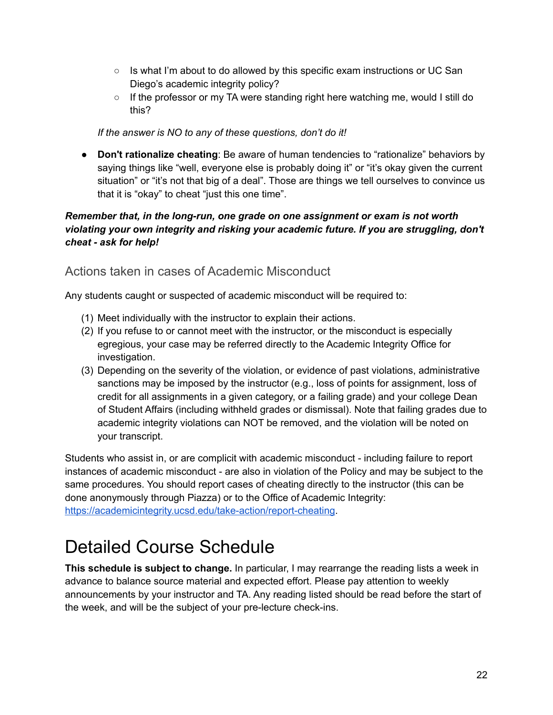- $\circ$  Is what I'm about to do allowed by this specific exam instructions or UC San Diego's academic integrity policy?
- $\circ$  If the professor or my TA were standing right here watching me, would I still do this?

*If the answer is NO to any of these questions, don't do it!*

● **Don't rationalize cheating**: Be aware of human tendencies to "rationalize" behaviors by saying things like "well, everyone else is probably doing it" or "it's okay given the current situation" or "it's not that big of a deal". Those are things we tell ourselves to convince us that it is "okay" to cheat "just this one time".

#### *Remember that, in the long-run, one grade on one assignment or exam is not worth violating your own integrity and risking your academic future. If you are struggling, don't cheat - ask for help!*

### <span id="page-21-0"></span>Actions taken in cases of Academic Misconduct

Any students caught or suspected of academic misconduct will be required to:

- (1) Meet individually with the instructor to explain their actions.
- (2) If you refuse to or cannot meet with the instructor, or the misconduct is especially egregious, your case may be referred directly to the Academic Integrity Office for investigation.
- (3) Depending on the severity of the violation, or evidence of past violations, administrative sanctions may be imposed by the instructor (e.g., loss of points for assignment, loss of credit for all assignments in a given category, or a failing grade) and your college Dean of Student Affairs (including withheld grades or dismissal). Note that failing grades due to academic integrity violations can NOT be removed, and the violation will be noted on your transcript.

Students who assist in, or are complicit with academic misconduct - including failure to report instances of academic misconduct - are also in violation of the Policy and may be subject to the same procedures. You should report cases of cheating directly to the instructor (this can be done anonymously through Piazza) or to the Office of Academic Integrity: [https://academicintegrity.ucsd.edu/take-action/report-cheating](https://academicintegrity.ucsd.edu/take-action/report-cheating/index.html).

# <span id="page-21-1"></span>Detailed Course Schedule

**This schedule is subject to change.** In particular, I may rearrange the reading lists a week in advance to balance source material and expected effort. Please pay attention to weekly announcements by your instructor and TA. Any reading listed should be read before the start of the week, and will be the subject of your pre-lecture check-ins.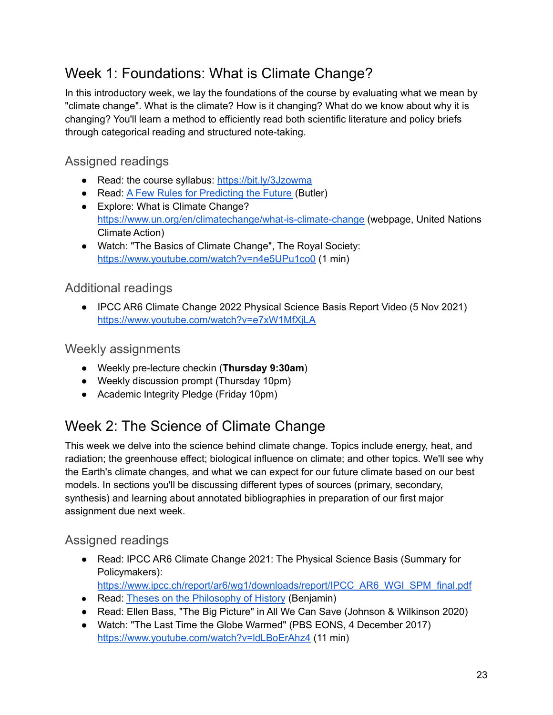## <span id="page-22-0"></span>Week 1: Foundations: What is Climate Change?

In this introductory week, we lay the foundations of the course by evaluating what we mean by "climate change". What is the climate? How is it changing? What do we know about why it is changing? You'll learn a method to efficiently read both scientific literature and policy briefs through categorical reading and structured note-taking.

## <span id="page-22-1"></span>Assigned readings

- Read: the course syllabus: <https://bit.ly/3Jzowma>
- Read: <u>A Few Rules for [Predicting](https://antiableistcomposition.files.wordpress.com/2020/07/octavia_e._butler_a_few_rules_.pdf) the Future</u> (Butler)
- Explore: What is Climate Change? <https://www.un.org/en/climatechange/what-is-climate-change> (webpage, United Nations Climate Action)
- Watch: "The Basics of Climate Change", The Royal Society: <https://www.youtube.com/watch?v=n4e5UPu1co0> (1 min)

### <span id="page-22-2"></span>Additional readings

● IPCC AR6 Climate Change 2022 Physical Science Basis Report Video (5 Nov 2021) <https://www.youtube.com/watch?v=e7xW1MfXjLA>

### <span id="page-22-3"></span>Weekly assignments

- Weekly pre-lecture checkin (**Thursday 9:30am**)
- Weekly discussion prompt (Thursday 10pm)
- Academic Integrity Pledge (Friday 10pm)

## <span id="page-22-4"></span>Week 2: The Science of Climate Change

This week we delve into the science behind climate change. Topics include energy, heat, and radiation; the greenhouse effect; biological influence on climate; and other topics. We'll see why the Earth's climate changes, and what we can expect for our future climate based on our best models. In sections you'll be discussing different types of sources (primary, secondary, synthesis) and learning about annotated bibliographies in preparation of our first major assignment due next week.

## <span id="page-22-5"></span>Assigned readings

- Read: IPCC AR6 Climate Change 2021: The Physical Science Basis (Summary for Policymakers): [https://www.ipcc.ch/report/ar6/wg1/downloads/report/IPCC\\_AR6\\_WGI\\_SPM\\_final.pdf](https://www.ipcc.ch/report/ar6/wg1/downloads/report/IPCC_AR6_WGI_SPM_final.pdf)
- Read: Theses on the [Philosophy](https://seansturm.files.wordpress.com/2012/06/benjamin-theses-on-the-philosophy-of-history.pdf) of History (Benjamin)
- Read: Ellen Bass, "The Big Picture" in All We Can Save (Johnson & Wilkinson 2020)
- Watch: "The Last Time the Globe Warmed" (PBS EONS, 4 December 2017) <https://www.youtube.com/watch?v=ldLBoErAhz4> (11 min)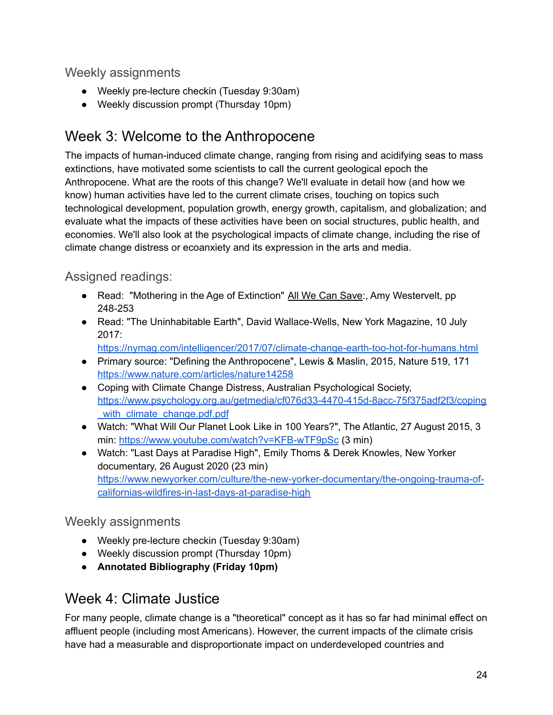### <span id="page-23-0"></span>Weekly assignments

- Weekly pre-lecture checkin (Tuesday 9:30am)
- Weekly discussion prompt (Thursday 10pm)

## <span id="page-23-1"></span>Week 3: Welcome to the Anthropocene

The impacts of human-induced climate change, ranging from rising and acidifying seas to mass extinctions, have motivated some scientists to call the current geological epoch the Anthropocene. What are the roots of this change? We'll evaluate in detail how (and how we know) human activities have led to the current climate crises, touching on topics such technological development, population growth, energy growth, capitalism, and globalization; and evaluate what the impacts of these activities have been on social structures, public health, and economies. We'll also look at the psychological impacts of climate change, including the rise of climate change distress or ecoanxiety and its expression in the arts and media.

### <span id="page-23-2"></span>Assigned readings:

- Read: "Mothering in the Age of Extinction" All We Can Save:, Amy Westervelt, pp 248-253
- Read: "The Uninhabitable Earth", David Wallace-Wells, New York Magazine, 10 July 2017:

<https://nymag.com/intelligencer/2017/07/climate-change-earth-too-hot-for-humans.html>

- Primary source: "Defining the Anthropocene", Lewis & Maslin, 2015, Nature 519, 171 <https://www.nature.com/articles/nature14258>
- Coping with Climate Change Distress, Australian Psychological Society, [https://www.psychology.org.au/getmedia/cf076d33-4470-415d-8acc-75f375adf2f3/coping](https://www.psychology.org.au/getmedia/cf076d33-4470-415d-8acc-75f375adf2f3/coping_with_climate_change.pdf.pdf) with climate change.pdf.pdf
- Watch: "What Will Our Planet Look Like in 100 Years?", The Atlantic, 27 August 2015, 3 min: <https://www.youtube.com/watch?v=KFB-wTF9pSc> (3 min)
- Watch: "Last Days at Paradise High", Emily Thoms & Derek Knowles, New Yorker documentary, 26 August 2020 (23 min) [https://www.newyorker.com/culture/the-new-yorker-documentary/the-ongoing-trauma-of](https://www.newyorker.com/culture/the-new-yorker-documentary/the-ongoing-trauma-of-californias-wildfires-in-last-days-at-paradise-high)[californias-wildfires-in-last-days-at-paradise-high](https://www.newyorker.com/culture/the-new-yorker-documentary/the-ongoing-trauma-of-californias-wildfires-in-last-days-at-paradise-high)

### <span id="page-23-3"></span>Weekly assignments

- Weekly pre-lecture checkin (Tuesday 9:30am)
- Weekly discussion prompt (Thursday 10pm)
- **● Annotated Bibliography (Friday 10pm)**

## <span id="page-23-4"></span>Week 4: Climate Justice

For many people, climate change is a "theoretical" concept as it has so far had minimal effect on affluent people (including most Americans). However, the current impacts of the climate crisis have had a measurable and disproportionate impact on underdeveloped countries and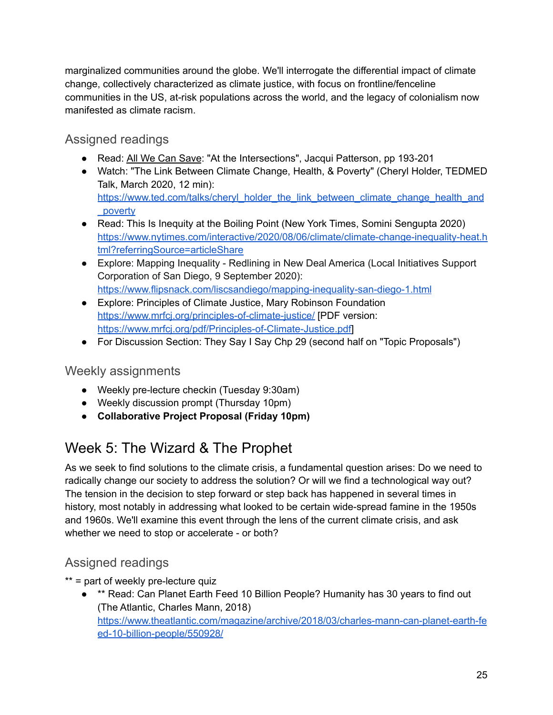marginalized communities around the globe. We'll interrogate the differential impact of climate change, collectively characterized as climate justice, with focus on frontline/fenceline communities in the US, at-risk populations across the world, and the legacy of colonialism now manifested as climate racism.

## <span id="page-24-0"></span>Assigned readings

- Read: All We Can Save: "At the Intersections", Jacqui Patterson, pp 193-201
- Watch: "The Link Between Climate Change, Health, & Poverty" (Cheryl Holder, TEDMED Talk, March 2020, 12 min): [https://www.ted.com/talks/cheryl\\_holder\\_the\\_link\\_between\\_climate\\_change\\_health\\_and](https://www.ted.com/talks/cheryl_holder_the_link_between_climate_change_health_and_poverty) [\\_poverty](https://www.ted.com/talks/cheryl_holder_the_link_between_climate_change_health_and_poverty)
- Read: This Is Inequity at the Boiling Point (New York Times, Somini Sengupta 2020) [https://www.nytimes.com/interactive/2020/08/06/climate/climate-change-inequality-heat.h](https://www.nytimes.com/interactive/2020/08/06/climate/climate-change-inequality-heat.html?referringSource=articleShare) [tml?referringSource=articleShare](https://www.nytimes.com/interactive/2020/08/06/climate/climate-change-inequality-heat.html?referringSource=articleShare)
- Explore: Mapping Inequality Redlining in New Deal America (Local Initiatives Support Corporation of San Diego, 9 September 2020): <https://www.flipsnack.com/liscsandiego/mapping-inequality-san-diego-1.html>
- Explore: Principles of Climate Justice, Mary Robinson Foundation <https://www.mrfcj.org/principles-of-climate-justice/> [PDF version: [https://www.mrfcj.org/pdf/Principles-of-Climate-Justice.pdf\]](https://www.mrfcj.org/pdf/Principles-of-Climate-Justice.pdf)
- For Discussion Section: They Say I Say Chp 29 (second half on "Topic Proposals")

### <span id="page-24-1"></span>Weekly assignments

- Weekly pre-lecture checkin (Tuesday 9:30am)
- Weekly discussion prompt (Thursday 10pm)
- **● Collaborative Project Proposal (Friday 10pm)**

## <span id="page-24-2"></span>Week 5: The Wizard & The Prophet

As we seek to find solutions to the climate crisis, a fundamental question arises: Do we need to radically change our society to address the solution? Or will we find a technological way out? The tension in the decision to step forward or step back has happened in several times in history, most notably in addressing what looked to be certain wide-spread famine in the 1950s and 1960s. We'll examine this event through the lens of the current climate crisis, and ask whether we need to stop or accelerate - or both?

## <span id="page-24-3"></span>Assigned readings

- \*\* = part of weekly pre-lecture quiz
	- \*\* Read: Can Planet Earth Feed 10 Billion People? Humanity has 30 years to find out (The Atlantic, Charles Mann, 2018) [https://www.theatlantic.com/magazine/archive/2018/03/charles-mann-can-planet-earth-fe](https://www.theatlantic.com/magazine/archive/2018/03/charles-mann-can-planet-earth-feed-10-billion-people/550928/) [ed-10-billion-people/550928/](https://www.theatlantic.com/magazine/archive/2018/03/charles-mann-can-planet-earth-feed-10-billion-people/550928/)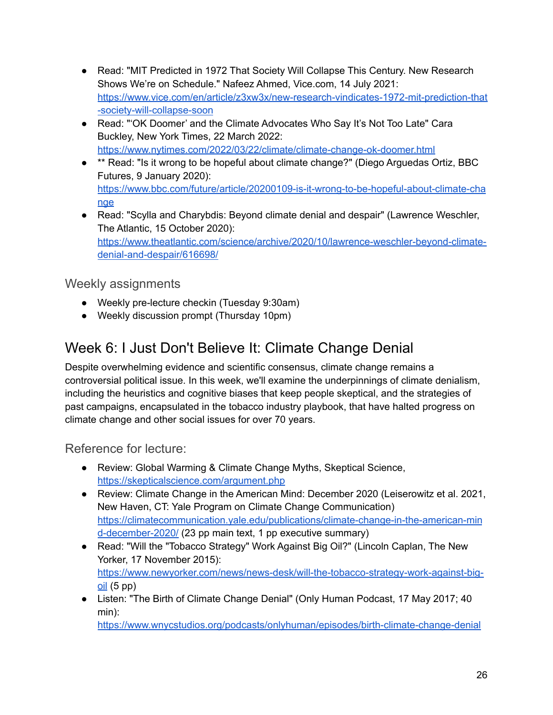- Read: "MIT Predicted in 1972 That Society Will Collapse This Century. New Research Shows We're on Schedule." Nafeez Ahmed, Vice.com, 14 July 2021: [https://www.vice.com/en/article/z3xw3x/new-research-vindicates-1972-mit-prediction-that](https://www.vice.com/en/article/z3xw3x/new-research-vindicates-1972-mit-prediction-that-society-will-collapse-soon) [-society-will-collapse-soon](https://www.vice.com/en/article/z3xw3x/new-research-vindicates-1972-mit-prediction-that-society-will-collapse-soon)
- Read: "'OK Doomer' and the Climate Advocates Who Say It's Not Too Late" Cara Buckley, New York Times, 22 March 2022: <https://www.nytimes.com/2022/03/22/climate/climate-change-ok-doomer.html>
- \*\* Read: "Is it wrong to be hopeful about climate change?" (Diego Arguedas Ortiz, BBC Futures, 9 January 2020): [https://www.bbc.com/future/article/20200109-is-it-wrong-to-be-hopeful-about-climate-cha](https://www.bbc.com/future/article/20200109-is-it-wrong-to-be-hopeful-about-climate-change) [nge](https://www.bbc.com/future/article/20200109-is-it-wrong-to-be-hopeful-about-climate-change)
- Read: "Scylla and Charybdis: Beyond climate denial and despair" (Lawrence Weschler, The Atlantic, 15 October 2020): [https://www.theatlantic.com/science/archive/2020/10/lawrence-weschler-beyond-climate](https://www.theatlantic.com/science/archive/2020/10/lawrence-weschler-beyond-climate-denial-and-despair/616698/)[denial-and-despair/616698/](https://www.theatlantic.com/science/archive/2020/10/lawrence-weschler-beyond-climate-denial-and-despair/616698/)

### <span id="page-25-0"></span>Weekly assignments

- Weekly pre-lecture checkin (Tuesday 9:30am)
- Weekly discussion prompt (Thursday 10pm)

## <span id="page-25-1"></span>Week 6: I Just Don't Believe It: Climate Change Denial

Despite overwhelming evidence and scientific consensus, climate change remains a controversial political issue. In this week, we'll examine the underpinnings of climate denialism, including the heuristics and cognitive biases that keep people skeptical, and the strategies of past campaigns, encapsulated in the tobacco industry playbook, that have halted progress on climate change and other social issues for over 70 years.

### <span id="page-25-2"></span>Reference for lecture:

- Review: Global Warming & Climate Change Myths, Skeptical Science, <https://skepticalscience.com/argument.php>
- Review: Climate Change in the American Mind: December 2020 (Leiserowitz et al. 2021, New Haven, CT: Yale Program on Climate Change Communication) [https://climatecommunication.yale.edu/publications/climate-change-in-the-american-min](https://climatecommunication.yale.edu/publications/climate-change-in-the-american-mind-december-2020/) [d-december-2020/](https://climatecommunication.yale.edu/publications/climate-change-in-the-american-mind-december-2020/) (23 pp main text, 1 pp executive summary)
- Read: "Will the "Tobacco Strategy" Work Against Big Oil?" (Lincoln Caplan, The New Yorker, 17 November 2015): [https://www.newyorker.com/news/news-desk/will-the-tobacco-strategy-work-against-big](https://www.newyorker.com/news/news-desk/will-the-tobacco-strategy-work-against-big-oil) $oil$  (5 pp)
- Listen: "The Birth of Climate Change Denial" (Only Human Podcast, 17 May 2017; 40 min):

<https://www.wnycstudios.org/podcasts/onlyhuman/episodes/birth-climate-change-denial>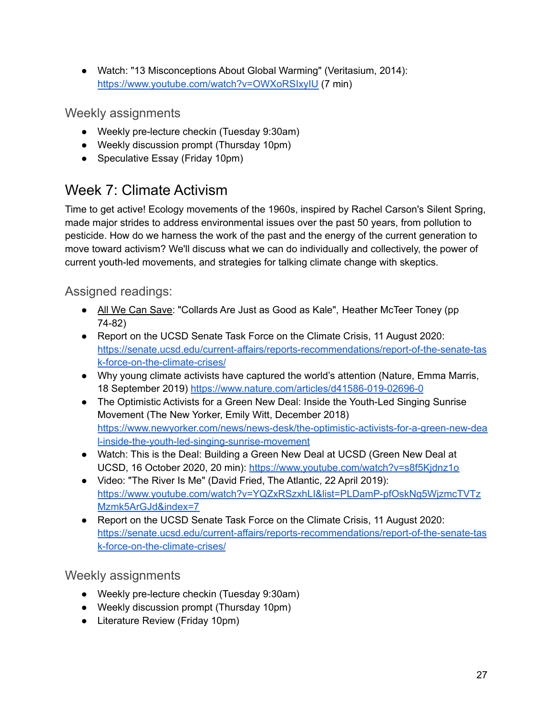● Watch: "13 Misconceptions About Global Warming" (Veritasium, 2014): <https://www.youtube.com/watch?v=OWXoRSIxyIU> (7 min)

<span id="page-26-0"></span>Weekly assignments

- Weekly pre-lecture checkin (Tuesday 9:30am)
- Weekly discussion prompt (Thursday 10pm)
- Speculative Essay (Friday 10pm)

## <span id="page-26-1"></span>Week 7: Climate Activism

Time to get active! Ecology movements of the 1960s, inspired by Rachel Carson's Silent Spring, made major strides to address environmental issues over the past 50 years, from pollution to pesticide. How do we harness the work of the past and the energy of the current generation to move toward activism? We'll discuss what we can do individually and collectively, the power of current youth-led movements, and strategies for talking climate change with skeptics.

### <span id="page-26-2"></span>Assigned readings:

- All We Can Save: "Collards Are Just as Good as Kale", Heather McTeer Toney (pp 74-82)
- Report on the UCSD Senate Task Force on the Climate Crisis, 11 August 2020: [https://senate.ucsd.edu/current-affairs/reports-recommendations/report-of-the-senate-tas](https://senate.ucsd.edu/current-affairs/reports-recommendations/report-of-the-senate-task-force-on-the-climate-crises/) [k-force-on-the-climate-crises/](https://senate.ucsd.edu/current-affairs/reports-recommendations/report-of-the-senate-task-force-on-the-climate-crises/)
- Why young climate activists have captured the world's attention (Nature, Emma Marris, 18 September 2019) <https://www.nature.com/articles/d41586-019-02696-0>
- The Optimistic Activists for a Green New Deal: Inside the Youth-Led Singing Sunrise Movement (The New Yorker, Emily Witt, December 2018) [https://www.newyorker.com/news/news-desk/the-optimistic-activists-for-a-green-new-dea](https://www.newyorker.com/news/news-desk/the-optimistic-activists-for-a-green-new-deal-inside-the-youth-led-singing-sunrise-movement) [l-inside-the-youth-led-singing-sunrise-movement](https://www.newyorker.com/news/news-desk/the-optimistic-activists-for-a-green-new-deal-inside-the-youth-led-singing-sunrise-movement)
- Watch: This is the Deal: Building a Green New Deal at UCSD (Green New Deal at UCSD, 16 October 2020, 20 min): <https://www.youtube.com/watch?v=s8f5Kjdnz1o>
- Video: "The River Is Me" (David Fried, The Atlantic, 22 April 2019): [https://www.youtube.com/watch?v=YQZxRSzxhLI&list=PLDamP-pfOskNg5WjzmcTVTz](https://www.youtube.com/watch?v=YQZxRSzxhLI&list=PLDamP-pfOskNg5WjzmcTVTzMzmk5ArGJd&index=7) [Mzmk5ArGJd&index=7](https://www.youtube.com/watch?v=YQZxRSzxhLI&list=PLDamP-pfOskNg5WjzmcTVTzMzmk5ArGJd&index=7)
- Report on the UCSD Senate Task Force on the Climate Crisis, 11 August 2020: [https://senate.ucsd.edu/current-affairs/reports-recommendations/report-of-the-senate-tas](https://senate.ucsd.edu/current-affairs/reports-recommendations/report-of-the-senate-task-force-on-the-climate-crises/) [k-force-on-the-climate-crises/](https://senate.ucsd.edu/current-affairs/reports-recommendations/report-of-the-senate-task-force-on-the-climate-crises/)

<span id="page-26-3"></span>Weekly assignments

- Weekly pre-lecture checkin (Tuesday 9:30am)
- Weekly discussion prompt (Thursday 10pm)
- Literature Review (Friday 10pm)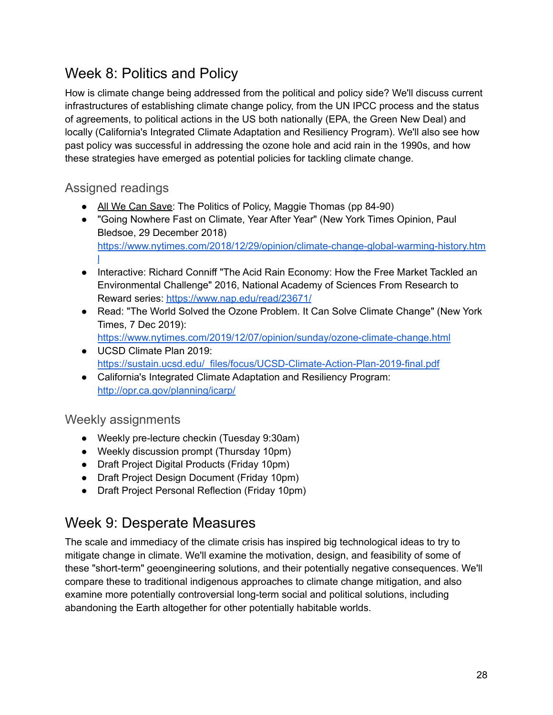## <span id="page-27-0"></span>Week 8: Politics and Policy

How is climate change being addressed from the political and policy side? We'll discuss current infrastructures of establishing climate change policy, from the UN IPCC process and the status of agreements, to political actions in the US both nationally (EPA, the Green New Deal) and locally (California's Integrated Climate Adaptation and Resiliency Program). We'll also see how past policy was successful in addressing the ozone hole and acid rain in the 1990s, and how these strategies have emerged as potential policies for tackling climate change.

## <span id="page-27-1"></span>Assigned readings

- All We Can Save: The Politics of Policy, Maggie Thomas (pp 84-90)
- "Going Nowhere Fast on Climate, Year After Year" (New York Times Opinion, Paul Bledsoe, 29 December 2018) [https://www.nytimes.com/2018/12/29/opinion/climate-change-global-warming-history.htm](https://www.nytimes.com/2018/12/29/opinion/climate-change-global-warming-history.html) [l](https://www.nytimes.com/2018/12/29/opinion/climate-change-global-warming-history.html)
- Interactive: Richard Conniff "The Acid Rain Economy: How the Free Market Tackled an Environmental Challenge" 2016, National Academy of Sciences From Research to Reward series: <https://www.nap.edu/read/23671/>
- Read: "The World Solved the Ozone Problem. It Can Solve Climate Change" (New York Times, 7 Dec 2019): <https://www.nytimes.com/2019/12/07/opinion/sunday/ozone-climate-change.html>
- UCSD Climate Plan 2019: [https://sustain.ucsd.edu/\\_files/focus/UCSD-Climate-Action-Plan-2019-final.pdf](https://sustain.ucsd.edu/_files/focus/UCSD-Climate-Action-Plan-2019-final.pdf)
- California's Integrated Climate Adaptation and Resiliency Program: <http://opr.ca.gov/planning/icarp/>

### <span id="page-27-2"></span>Weekly assignments

- Weekly pre-lecture checkin (Tuesday 9:30am)
- Weekly discussion prompt (Thursday 10pm)
- Draft Project Digital Products (Friday 10pm)
- Draft Project Design Document (Friday 10pm)
- Draft Project Personal Reflection (Friday 10pm)

## <span id="page-27-3"></span>Week 9: Desperate Measures

The scale and immediacy of the climate crisis has inspired big technological ideas to try to mitigate change in climate. We'll examine the motivation, design, and feasibility of some of these "short-term" geoengineering solutions, and their potentially negative consequences. We'll compare these to traditional indigenous approaches to climate change mitigation, and also examine more potentially controversial long-term social and political solutions, including abandoning the Earth altogether for other potentially habitable worlds.